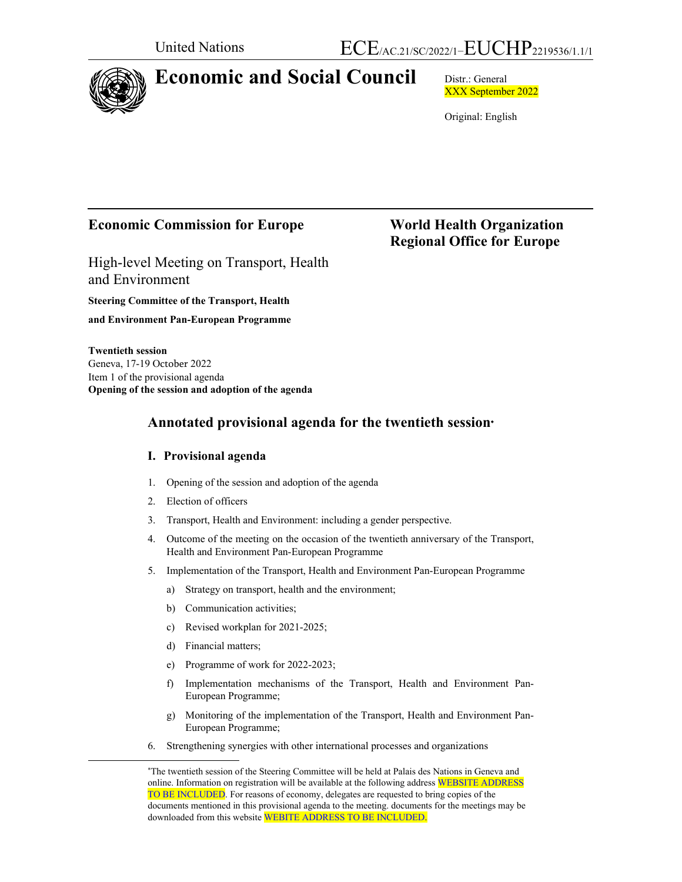

# **Economic and Social Council** Distr.: General

XXX September 2022

Original: English

 **Regional Office for Europe** 

# **Economic Commission for Europe World Health Organization**

High-level Meeting on Transport, Health and Environment

**Steering Committee of the Transport, Health and Environment Pan-European Programme** 

**Twentieth session**  Geneva, 17-19 October 2022 Item 1 of the provisional agenda **Opening of the session and adoption of the agenda** 

# **Annotated provisional agenda for the twentieth session**

# **I. Provisional agenda**

- 1. Opening of the session and adoption of the agenda
- 2. Election of officers
- 3. Transport, Health and Environment: including a gender perspective.
- 4. Outcome of the meeting on the occasion of the twentieth anniversary of the Transport, Health and Environment Pan-European Programme
- 5. Implementation of the Transport, Health and Environment Pan-European Programme
	- a) Strategy on transport, health and the environment;
	- b) Communication activities;
	- c) Revised workplan for 2021-2025;
	- d) Financial matters;
	- e) Programme of work for 2022-2023;
	- f) Implementation mechanisms of the Transport, Health and Environment Pan-European Programme;
	- g) Monitoring of the implementation of the Transport, Health and Environment Pan-European Programme;
- 6. Strengthening synergies with other international processes and organizations

The twentieth session of the Steering Committee will be held at Palais des Nations in Geneva and online. Information on registration will be available at the following address WEBSITE ADDRESS TO BE INCLUDED. For reasons of economy, delegates are requested to bring copies of the documents mentioned in this provisional agenda to the meeting. documents for the meetings may be downloaded from this website WEBITE ADDRESS TO BE INCLUDED.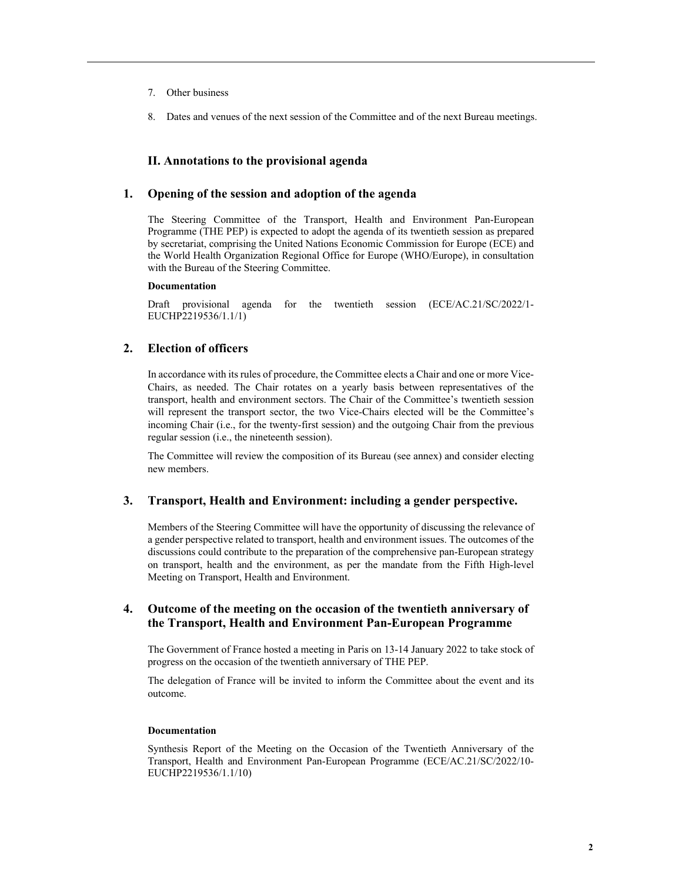- 7. Other business
- 8. Dates and venues of the next session of the Committee and of the next Bureau meetings.

# **II. Annotations to the provisional agenda**

### **1. Opening of the session and adoption of the agenda**

The Steering Committee of the Transport, Health and Environment Pan-European Programme (THE PEP) is expected to adopt the agenda of its twentieth session as prepared by secretariat, comprising the United Nations Economic Commission for Europe (ECE) and the World Health Organization Regional Office for Europe (WHO/Europe), in consultation with the Bureau of the Steering Committee.

#### **Documentation**

Draft provisional agenda for the twentieth session (ECE/AC.21/SC/2022/1- EUCHP2219536/1.1/1)

### **2. Election of officers**

In accordance with its rules of procedure, the Committee elects a Chair and one or more Vice-Chairs, as needed. The Chair rotates on a yearly basis between representatives of the transport, health and environment sectors. The Chair of the Committee's twentieth session will represent the transport sector, the two Vice-Chairs elected will be the Committee's incoming Chair (i.e., for the twenty-first session) and the outgoing Chair from the previous regular session (i.e., the nineteenth session).

The Committee will review the composition of its Bureau (see annex) and consider electing new members.

### **3. Transport, Health and Environment: including a gender perspective.**

Members of the Steering Committee will have the opportunity of discussing the relevance of a gender perspective related to transport, health and environment issues. The outcomes of the discussions could contribute to the preparation of the comprehensive pan-European strategy on transport, health and the environment, as per the mandate from the Fifth High-level Meeting on Transport, Health and Environment.

### **4. Outcome of the meeting on the occasion of the twentieth anniversary of the Transport, Health and Environment Pan-European Programme**

The Government of France hosted a meeting in Paris on 13-14 January 2022 to take stock of progress on the occasion of the twentieth anniversary of THE PEP.

The delegation of France will be invited to inform the Committee about the event and its outcome.

#### **Documentation**

Synthesis Report of the Meeting on the Occasion of the Twentieth Anniversary of the Transport, Health and Environment Pan-European Programme (ECE/AC.21/SC/2022/10- EUCHP2219536/1.1/10)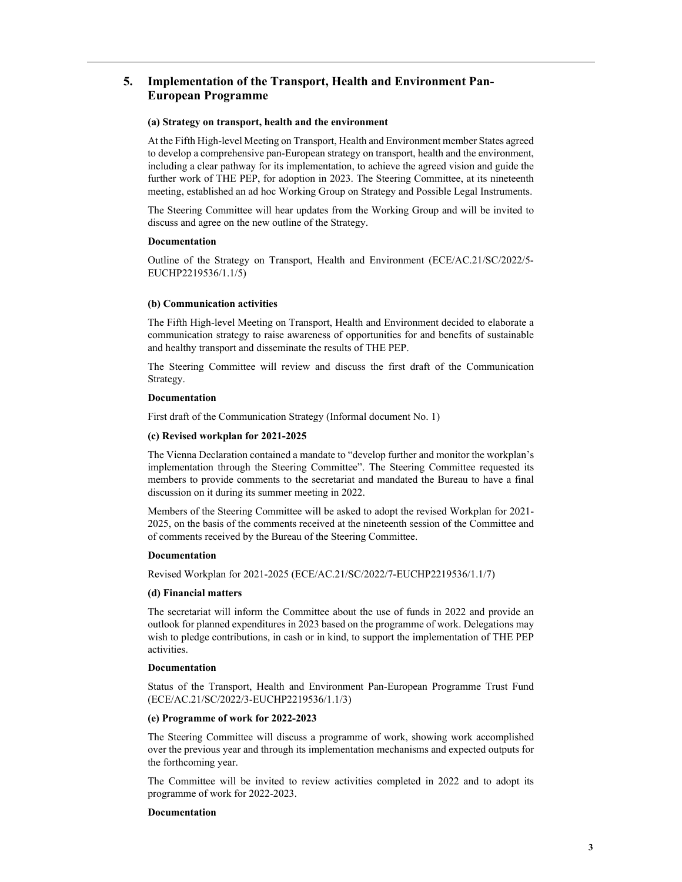# **5. Implementation of the Transport, Health and Environment Pan-European Programme**

#### **(a) Strategy on transport, health and the environment**

At the Fifth High-level Meeting on Transport, Health and Environment member States agreed to develop a comprehensive pan-European strategy on transport, health and the environment, including a clear pathway for its implementation, to achieve the agreed vision and guide the further work of THE PEP, for adoption in 2023. The Steering Committee, at its nineteenth meeting, established an ad hoc Working Group on Strategy and Possible Legal Instruments.

The Steering Committee will hear updates from the Working Group and will be invited to discuss and agree on the new outline of the Strategy.

#### **Documentation**

Outline of the Strategy on Transport, Health and Environment (ECE/AC.21/SC/2022/5- EUCHP2219536/1.1/5)

#### **(b) Communication activities**

The Fifth High-level Meeting on Transport, Health and Environment decided to elaborate a communication strategy to raise awareness of opportunities for and benefits of sustainable and healthy transport and disseminate the results of THE PEP.

The Steering Committee will review and discuss the first draft of the Communication Strategy.

#### **Documentation**

First draft of the Communication Strategy (Informal document No. 1)

#### **(c) Revised workplan for 2021-2025**

The Vienna Declaration contained a mandate to "develop further and monitor the workplan's implementation through the Steering Committee". The Steering Committee requested its members to provide comments to the secretariat and mandated the Bureau to have a final discussion on it during its summer meeting in 2022.

Members of the Steering Committee will be asked to adopt the revised Workplan for 2021- 2025, on the basis of the comments received at the nineteenth session of the Committee and of comments received by the Bureau of the Steering Committee.

#### **Documentation**

Revised Workplan for 2021-2025 (ECE/AC.21/SC/2022/7-EUCHP2219536/1.1/7)

#### **(d) Financial matters**

The secretariat will inform the Committee about the use of funds in 2022 and provide an outlook for planned expenditures in 2023 based on the programme of work. Delegations may wish to pledge contributions, in cash or in kind, to support the implementation of THE PEP activities.

#### **Documentation**

Status of the Transport, Health and Environment Pan-European Programme Trust Fund (ECE/AC.21/SC/2022/3-EUCHP2219536/1.1/3)

#### **(e) Programme of work for 2022-2023**

The Steering Committee will discuss a programme of work, showing work accomplished over the previous year and through its implementation mechanisms and expected outputs for the forthcoming year.

The Committee will be invited to review activities completed in 2022 and to adopt its programme of work for 2022-2023.

#### **Documentation**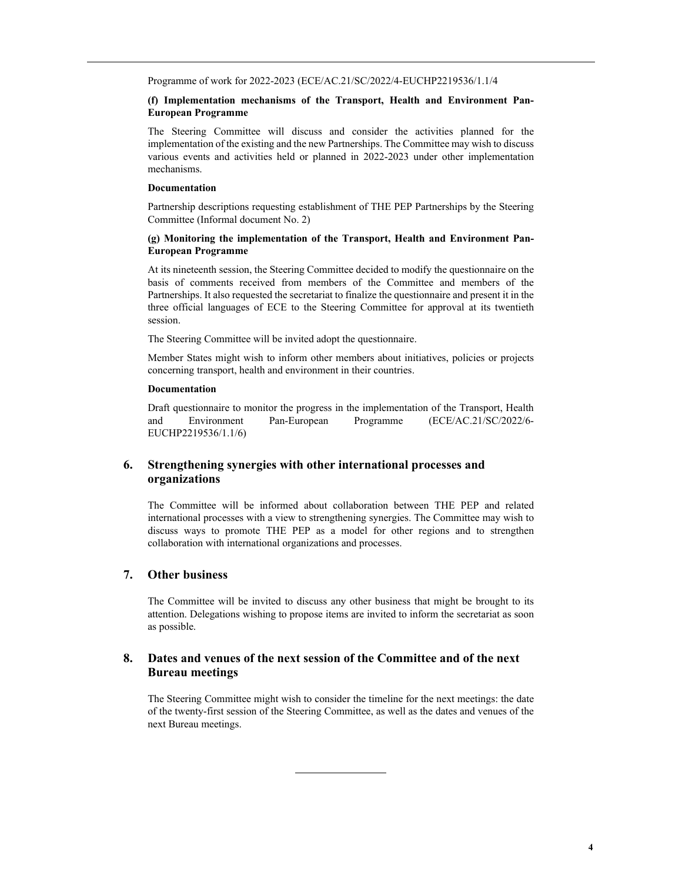Programme of work for 2022-2023 (ECE/AC.21/SC/2022/4-EUCHP2219536/1.1/4

#### **(f) Implementation mechanisms of the Transport, Health and Environment Pan-European Programme**

The Steering Committee will discuss and consider the activities planned for the implementation of the existing and the new Partnerships. The Committee may wish to discuss various events and activities held or planned in 2022-2023 under other implementation mechanisms.

#### **Documentation**

Partnership descriptions requesting establishment of THE PEP Partnerships by the Steering Committee (Informal document No. 2)

### **(g) Monitoring the implementation of the Transport, Health and Environment Pan-European Programme**

At its nineteenth session, the Steering Committee decided to modify the questionnaire on the basis of comments received from members of the Committee and members of the Partnerships. It also requested the secretariat to finalize the questionnaire and present it in the three official languages of ECE to the Steering Committee for approval at its twentieth session.

The Steering Committee will be invited adopt the questionnaire.

Member States might wish to inform other members about initiatives, policies or projects concerning transport, health and environment in their countries.

#### **Documentation**

Draft questionnaire to monitor the progress in the implementation of the Transport, Health and Environment Pan-European Programme (ECE/AC.21/SC/2022/6- EUCHP2219536/1.1/6)

### **6. Strengthening synergies with other international processes and organizations**

The Committee will be informed about collaboration between THE PEP and related international processes with a view to strengthening synergies. The Committee may wish to discuss ways to promote THE PEP as a model for other regions and to strengthen collaboration with international organizations and processes.

#### **7. Other business**

The Committee will be invited to discuss any other business that might be brought to its attention. Delegations wishing to propose items are invited to inform the secretariat as soon as possible.

# **8. Dates and venues of the next session of the Committee and of the next Bureau meetings**

 $\overline{a}$ 

The Steering Committee might wish to consider the timeline for the next meetings: the date of the twenty-first session of the Steering Committee, as well as the dates and venues of the next Bureau meetings.